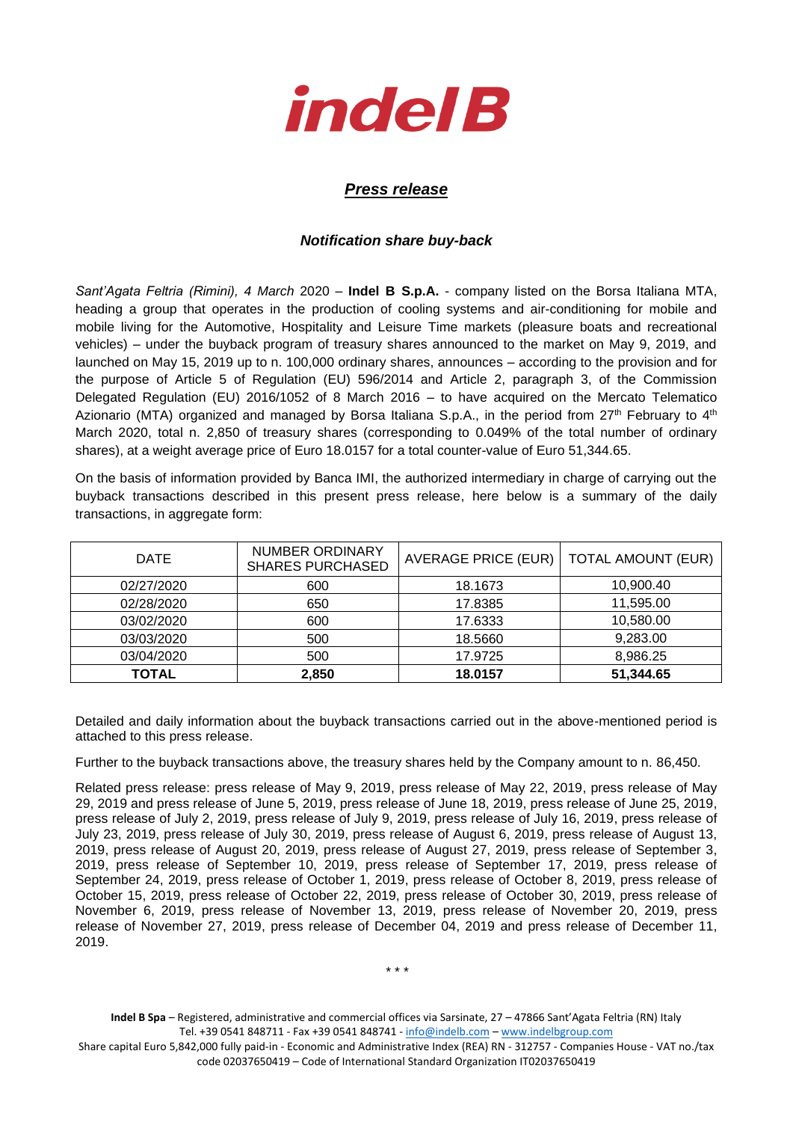

## *Press release*

## *Notification share buy-back*

*Sant'Agata Feltria (Rimini), 4 March* 2020 – **Indel B S.p.A.** - company listed on the Borsa Italiana MTA, heading a group that operates in the production of cooling systems and air-conditioning for mobile and mobile living for the Automotive, Hospitality and Leisure Time markets (pleasure boats and recreational vehicles) – under the buyback program of treasury shares announced to the market on May 9, 2019, and launched on May 15, 2019 up to n. 100,000 ordinary shares, announces – according to the provision and for the purpose of Article 5 of Regulation (EU) 596/2014 and Article 2, paragraph 3, of the Commission Delegated Regulation (EU) 2016/1052 of 8 March 2016 – to have acquired on the Mercato Telematico Azionario (MTA) organized and managed by Borsa Italiana S.p.A., in the period from 27<sup>th</sup> February to 4<sup>th</sup> March 2020, total n. 2,850 of treasury shares (corresponding to 0.049% of the total number of ordinary shares), at a weight average price of Euro 18.0157 for a total counter-value of Euro 51,344.65.

On the basis of information provided by Banca IMI, the authorized intermediary in charge of carrying out the buyback transactions described in this present press release, here below is a summary of the daily transactions, in aggregate form:

| <b>DATE</b>  | <b>NUMBER ORDINARY</b><br><b>SHARES PURCHASED</b> | <b>AVERAGE PRICE (EUR)</b> | <b>TOTAL AMOUNT (EUR)</b> |  |
|--------------|---------------------------------------------------|----------------------------|---------------------------|--|
| 02/27/2020   | 600                                               | 18.1673                    | 10,900.40                 |  |
| 02/28/2020   | 650                                               | 17.8385                    | 11,595.00                 |  |
| 03/02/2020   | 600                                               | 17.6333                    | 10,580.00                 |  |
| 03/03/2020   | 500                                               | 18.5660                    | 9,283.00                  |  |
| 03/04/2020   | 500                                               | 17.9725                    | 8,986.25                  |  |
| <b>TOTAL</b> | 2,850                                             | 18.0157                    | 51,344.65                 |  |

Detailed and daily information about the buyback transactions carried out in the above-mentioned period is attached to this press release.

Further to the buyback transactions above, the treasury shares held by the Company amount to n. 86,450.

Related press release: press release of May 9, 2019, press release of May 22, 2019, press release of May 29, 2019 and press release of June 5, 2019, press release of June 18, 2019, press release of June 25, 2019, press release of July 2, 2019, press release of July 9, 2019, press release of July 16, 2019, press release of July 23, 2019, press release of July 30, 2019, press release of August 6, 2019, press release of August 13, 2019, press release of August 20, 2019, press release of August 27, 2019, press release of September 3, 2019, press release of September 10, 2019, press release of September 17, 2019, press release of September 24, 2019, press release of October 1, 2019, press release of October 8, 2019, press release of October 15, 2019, press release of October 22, 2019, press release of October 30, 2019, press release of November 6, 2019, press release of November 13, 2019, press release of November 20, 2019, press release of November 27, 2019, press release of December 04, 2019 and press release of December 11, 2019.

**Indel B Spa** – Registered, administrative and commercial offices via Sarsinate, 27 – 47866 Sant'Agata Feltria (RN) Italy Tel. +39 0541 848711 - Fax +39 0541 848741 - [info@indelb.com](mailto:info@indelb.com) – [www.indelbgroup.com](http://www.indelbgroup.com/)

Share capital Euro 5,842,000 fully paid-in - Economic and Administrative Index (REA) RN - 312757 - Companies House - VAT no./tax code 02037650419 – Code of International Standard Organization IT02037650419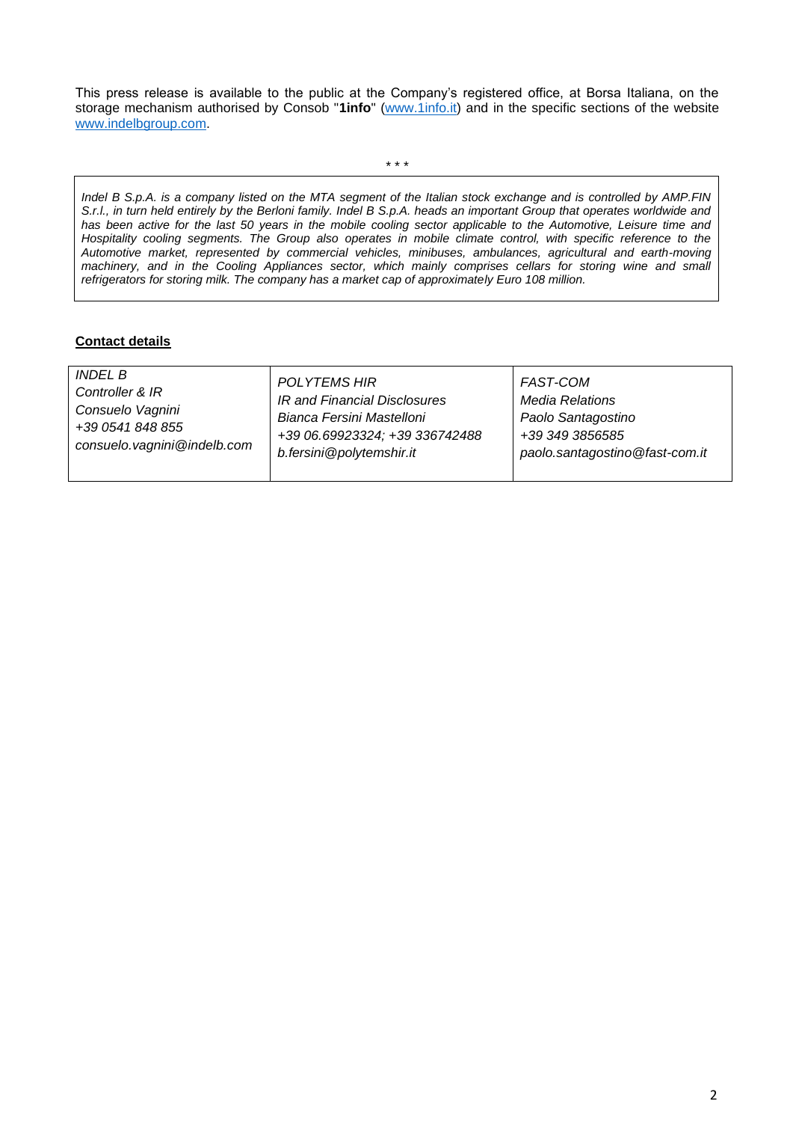This press release is available to the public at the Company's registered office, at Borsa Italiana, on the storage mechanism authorised by Consob "**1info**" [\(www.1info.it\)](file:///C:/Users/ddelietovollaro/AppData/Local/Microsoft/Windows/INetCache/Content.Outlook/T87B94UR/www.1info.it) and in the specific sections of the website [www.indelbgroup.com.](http://www.indelbgroup.com/)

\* \* \*

*Indel B S.p.A. is a company listed on the MTA segment of the Italian stock exchange and is controlled by AMP.FIN S.r.l., in turn held entirely by the Berloni family. Indel B S.p.A. heads an important Group that operates worldwide and*  has been active for the last 50 years in the mobile cooling sector applicable to the Automotive, Leisure time and *Hospitality cooling segments. The Group also operates in mobile climate control, with specific reference to the Automotive market, represented by commercial vehicles, minibuses, ambulances, agricultural and earth-moving machinery, and in the Cooling Appliances sector, which mainly comprises cellars for storing wine and small refrigerators for storing milk. The company has a market cap of approximately Euro 108 million.* 

## **Contact details**

| <i>INDEL B</i><br><b>POLYTEMS HIR</b><br><b>FAST-COM</b><br>Controller & IR<br>IR and Financial Disclosures<br><b>Media Relations</b><br>Consuelo Vagnini<br>Bianca Fersini Mastelloni<br>Paolo Santagostino<br>+39 0541 848 855<br>+39 06.69923324; +39 336742488<br>+39 349 3856585<br>consuelo.vagnini@indelb.com<br>b.fersini@polytemshir.it<br>paolo.santagostino@fast-com.it |  |
|------------------------------------------------------------------------------------------------------------------------------------------------------------------------------------------------------------------------------------------------------------------------------------------------------------------------------------------------------------------------------------|--|
|------------------------------------------------------------------------------------------------------------------------------------------------------------------------------------------------------------------------------------------------------------------------------------------------------------------------------------------------------------------------------------|--|